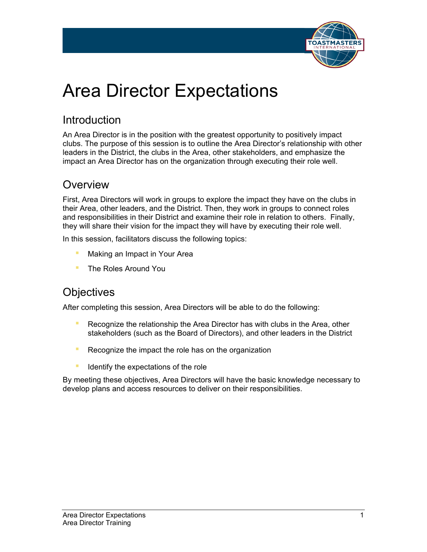

# Area Director Expectations

### **Introduction**

An Area Director is in the position with the greatest opportunity to positively impact clubs. The purpose of this session is to outline the Area Director's relationship with other leaders in the District, the clubs in the Area, other stakeholders, and emphasize the impact an Area Director has on the organization through executing their role well.

### **Overview**

First, Area Directors will work in groups to explore the impact they have on the clubs in their Area, other leaders, and the District. Then, they work in groups to connect roles and responsibilities in their District and examine their role in relation to others. Finally, they will share their vision for the impact they will have by executing their role well.

In this session, facilitators discuss the following topics:

- Making an Impact in Your Area
- The Roles Around You

### **Objectives**

After completing this session, Area Directors will be able to do the following:

- Recognize the relationship the Area Director has with clubs in the Area, other stakeholders (such as the Board of Directors), and other leaders in the District
- Recognize the impact the role has on the organization
- Identify the expectations of the role

By meeting these objectives, Area Directors will have the basic knowledge necessary to develop plans and access resources to deliver on their responsibilities.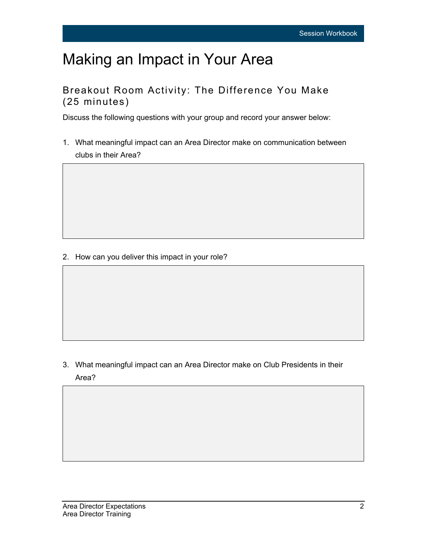# Making an Impact in Your Area

#### Breakout Room Activity: The Difference You Make (25 minutes)

Discuss the following questions with your group and record your answer below:

1. What meaningful impact can an Area Director make on communication between clubs in their Area?

2. How can you deliver this impact in your role?

3. What meaningful impact can an Area Director make on Club Presidents in their Area?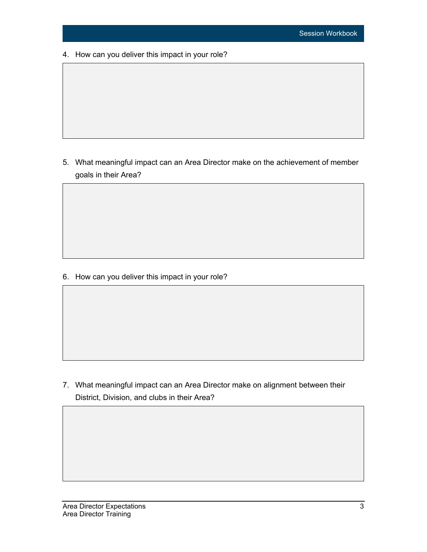4. How can you deliver this impact in your role?

5. What meaningful impact can an Area Director make on the achievement of member goals in their Area?

6. How can you deliver this impact in your role?

7. What meaningful impact can an Area Director make on alignment between their District, Division, and clubs in their Area?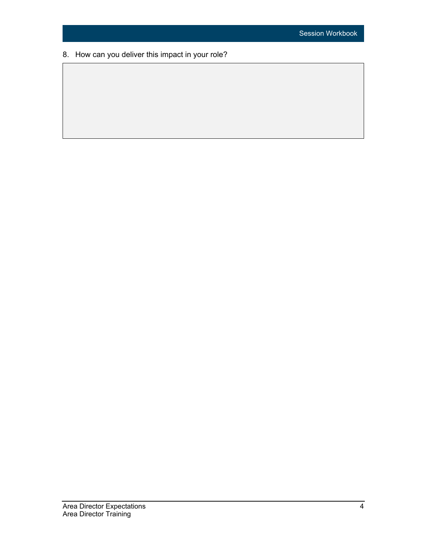8. How can you deliver this impact in your role?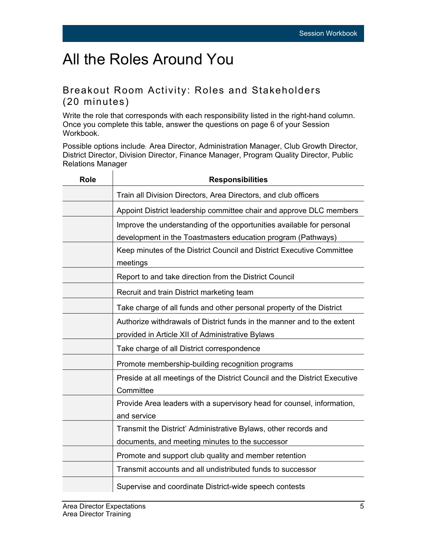# All the Roles Around You

#### Breakout Room Activity: Roles and Stakeholders (20 minutes)

Write the role that corresponds with each responsibility listed in the right-hand column. Once you complete this table, answer the questions on page 6 of your Session Workbook.

Possible options include: Area Director, Administration Manager, Club Growth Director, District Director, Division Director, Finance Manager, Program Quality Director, Public Relations Manager

| <b>Role</b> | <b>Responsibilities</b>                                                               |
|-------------|---------------------------------------------------------------------------------------|
|             | Train all Division Directors, Area Directors, and club officers                       |
|             | Appoint District leadership committee chair and approve DLC members                   |
|             | Improve the understanding of the opportunities available for personal                 |
|             | development in the Toastmasters education program (Pathways)                          |
|             | Keep minutes of the District Council and District Executive Committee<br>meetings     |
|             | Report to and take direction from the District Council                                |
|             | Recruit and train District marketing team                                             |
|             | Take charge of all funds and other personal property of the District                  |
|             | Authorize withdrawals of District funds in the manner and to the extent               |
|             | provided in Article XII of Administrative Bylaws                                      |
|             | Take charge of all District correspondence                                            |
|             | Promote membership-building recognition programs                                      |
|             | Preside at all meetings of the District Council and the District Executive            |
|             | Committee                                                                             |
|             | Provide Area leaders with a supervisory head for counsel, information,<br>and service |
|             | Transmit the District' Administrative Bylaws, other records and                       |
|             | documents, and meeting minutes to the successor                                       |
|             | Promote and support club quality and member retention                                 |
|             | Transmit accounts and all undistributed funds to successor                            |
|             | Supervise and coordinate District-wide speech contests                                |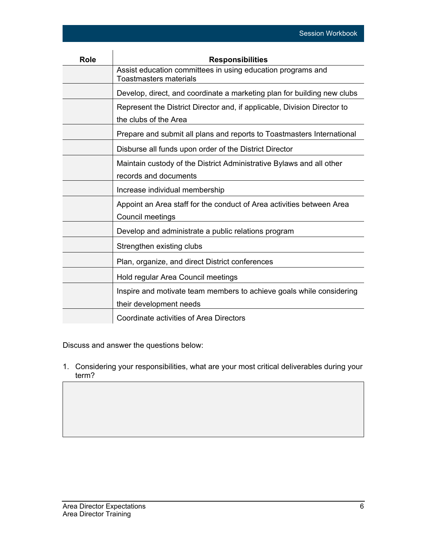| <b>Role</b> | <b>Responsibilities</b>                                                                           |
|-------------|---------------------------------------------------------------------------------------------------|
|             | Assist education committees in using education programs and<br>Toastmasters materials             |
|             | Develop, direct, and coordinate a marketing plan for building new clubs                           |
|             | Represent the District Director and, if applicable, Division Director to<br>the clubs of the Area |
|             | Prepare and submit all plans and reports to Toastmasters International                            |
|             | Disburse all funds upon order of the District Director                                            |
|             | Maintain custody of the District Administrative Bylaws and all other<br>records and documents     |
|             | Increase individual membership                                                                    |
|             | Appoint an Area staff for the conduct of Area activities between Area<br>Council meetings         |
|             | Develop and administrate a public relations program                                               |
|             | Strengthen existing clubs                                                                         |
|             | Plan, organize, and direct District conferences                                                   |
|             | Hold regular Area Council meetings                                                                |
|             | Inspire and motivate team members to achieve goals while considering<br>their development needs   |
|             | <b>Coordinate activities of Area Directors</b>                                                    |

Discuss and answer the questions below:

1. Considering your responsibilities, what are your most critical deliverables during your term?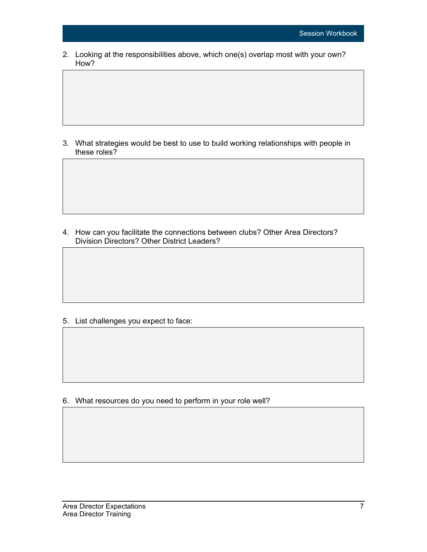2. Looking at the responsibilities above, which one(s) overlap most with your own? How?

3. What strategies would be best to use to build working relationships with people in these roles?

4. How can you facilitate the connections between clubs? Other Area Directors? Division Directors? Other District Leaders?

5. List challenges you expect to face:

6. What resources do you need to perform in your role well?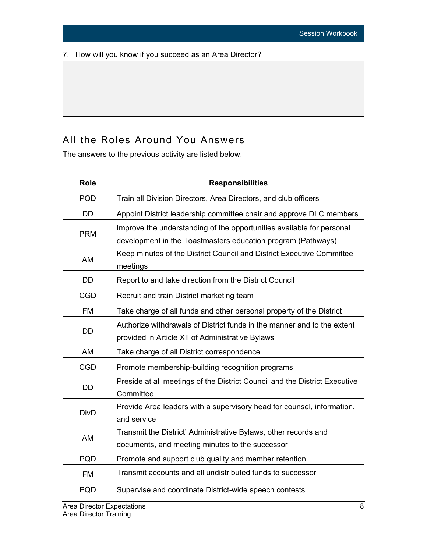7. How will you know if you succeed as an Area Director?

#### All the Roles Around You Answers

The answers to the previous activity are listed below.

| <b>Role</b> | <b>Responsibilities</b>                                                                                                               |
|-------------|---------------------------------------------------------------------------------------------------------------------------------------|
| <b>PQD</b>  | Train all Division Directors, Area Directors, and club officers                                                                       |
| <b>DD</b>   | Appoint District leadership committee chair and approve DLC members                                                                   |
| <b>PRM</b>  | Improve the understanding of the opportunities available for personal<br>development in the Toastmasters education program (Pathways) |
| AM          | Keep minutes of the District Council and District Executive Committee<br>meetings                                                     |
| DD          | Report to and take direction from the District Council                                                                                |
| <b>CGD</b>  | Recruit and train District marketing team                                                                                             |
| <b>FM</b>   | Take charge of all funds and other personal property of the District                                                                  |
| DD          | Authorize withdrawals of District funds in the manner and to the extent<br>provided in Article XII of Administrative Bylaws           |
| AM          | Take charge of all District correspondence                                                                                            |
| <b>CGD</b>  | Promote membership-building recognition programs                                                                                      |
| <b>DD</b>   | Preside at all meetings of the District Council and the District Executive<br>Committee                                               |
| <b>DivD</b> | Provide Area leaders with a supervisory head for counsel, information,<br>and service                                                 |
| AM          | Transmit the District' Administrative Bylaws, other records and<br>documents, and meeting minutes to the successor                    |
| <b>PQD</b>  | Promote and support club quality and member retention                                                                                 |
| <b>FM</b>   | Transmit accounts and all undistributed funds to successor                                                                            |
| <b>PQD</b>  | Supervise and coordinate District-wide speech contests                                                                                |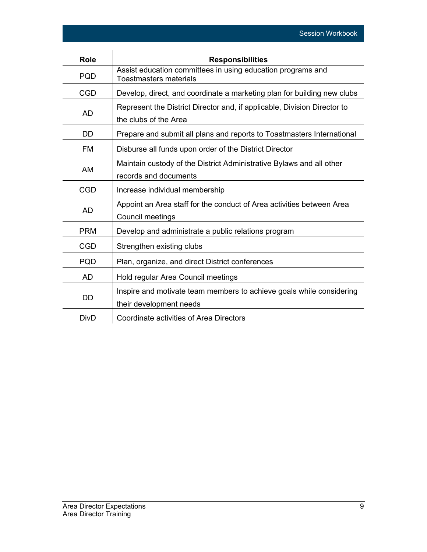| <b>Role</b> | <b>Responsibilities</b>                                                                           |
|-------------|---------------------------------------------------------------------------------------------------|
| <b>PQD</b>  | Assist education committees in using education programs and<br><b>Toastmasters materials</b>      |
| <b>CGD</b>  | Develop, direct, and coordinate a marketing plan for building new clubs                           |
| <b>AD</b>   | Represent the District Director and, if applicable, Division Director to<br>the clubs of the Area |
| DD          | Prepare and submit all plans and reports to Toastmasters International                            |
| FM          | Disburse all funds upon order of the District Director                                            |
| <b>AM</b>   | Maintain custody of the District Administrative Bylaws and all other<br>records and documents     |
| <b>CGD</b>  | Increase individual membership                                                                    |
| <b>AD</b>   | Appoint an Area staff for the conduct of Area activities between Area<br>Council meetings         |
| <b>PRM</b>  | Develop and administrate a public relations program                                               |
| <b>CGD</b>  | Strengthen existing clubs                                                                         |
| <b>PQD</b>  | Plan, organize, and direct District conferences                                                   |
| <b>AD</b>   | Hold regular Area Council meetings                                                                |
| <b>DD</b>   | Inspire and motivate team members to achieve goals while considering<br>their development needs   |
| <b>DivD</b> | <b>Coordinate activities of Area Directors</b>                                                    |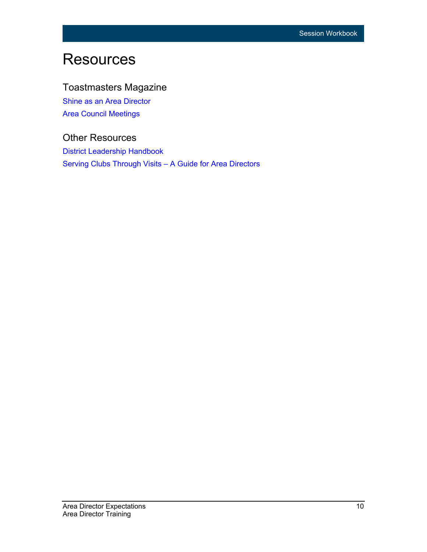## **Resources**

#### Toastmasters Magazine

[Shine as an Area Director](https://www.toastmasters.org/magazine/magazine-issues/2017/dec2017/area-director)  [Area Council Meetings](https://www.toastmasters.org/magazine/magazine-issues/2020/oct/area-council-meetings) 

#### Other Resources

[District Leadership Handbook](https://toastmasterscdn.azureedge.net/medias/files/department-documents/district-documents/222-district-leadership-handbook.pdf?la=en) [Serving Clubs Through Visits – A Guide for Area Directors](https://toastmasterscdn.azureedge.net/medias/files/department-documents/club-documents/219-serving-clubs-through-visits-a-guide-for-area-directors.pdf)